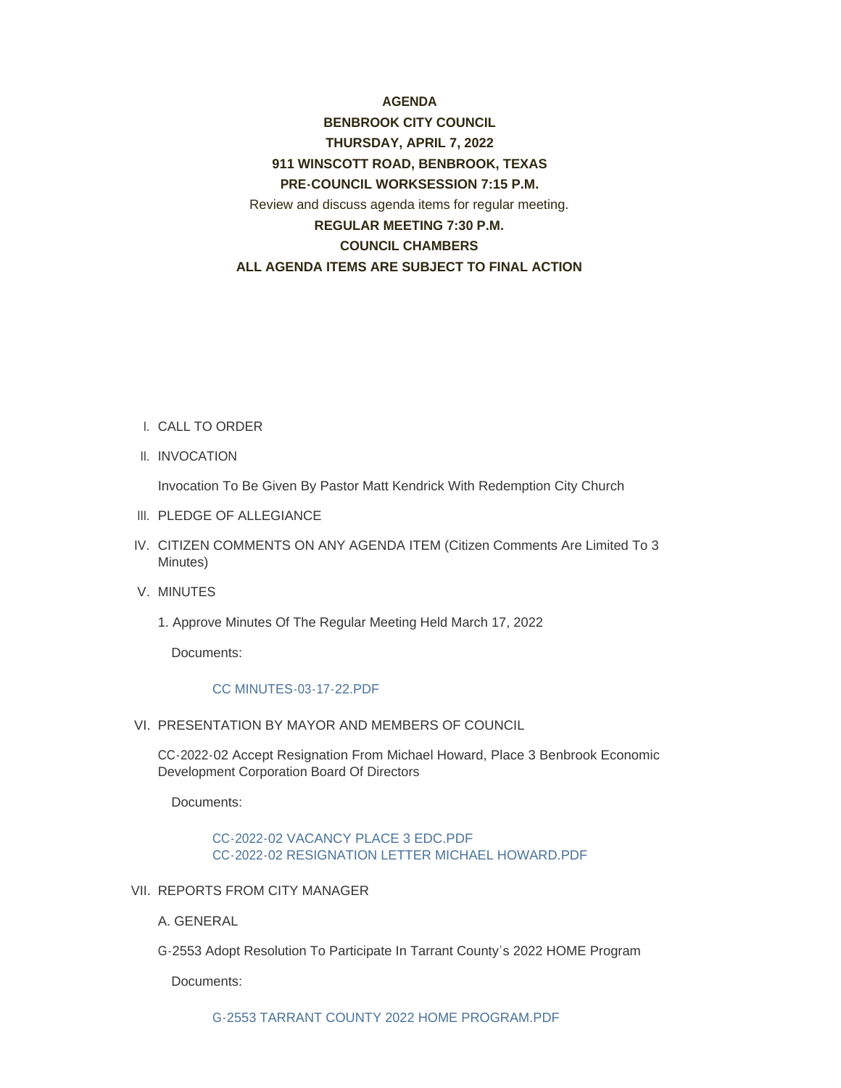#### **AGENDA**

# **BENBROOK CITY COUNCIL THURSDAY, APRIL 7, 2022 911 WINSCOTT ROAD, BENBROOK, TEXAS PRE-COUNCIL WORKSESSION 7:15 P.M.** Review and discuss agenda items for regular meeting. **REGULAR MEETING 7:30 P.M. COUNCIL CHAMBERS ALL AGENDA ITEMS ARE SUBJECT TO FINAL ACTION**

- CALL TO ORDER I.
- II. INVOCATION

Invocation To Be Given By Pastor Matt Kendrick With Redemption City Church

- III. PLEDGE OF ALLEGIANCE
- CITIZEN COMMENTS ON ANY AGENDA ITEM (Citizen Comments Are Limited To 3 IV. Minutes)
- V. MINUTES
	- 1. Approve Minutes Of The Regular Meeting Held March 17, 2022

Documents:

#### CC MINUTES-03-17-22.PDF

VI. PRESENTATION BY MAYOR AND MEMBERS OF COUNCIL

CC-2022-02 Accept Resignation From Michael Howard, Place 3 Benbrook Economic Development Corporation Board Of Directors

Documents:

#### CC-2022-02 VACANCY PLACE 3 EDC.PDF CC-2022-02 RESIGNATION LETTER MICHAEL HOWARD.PDF

- VII. REPORTS FROM CITY MANAGER
	- A. GENERAL
	- G-2553 Adopt Resolution To Participate In Tarrant County's 2022 HOME Program

Documents: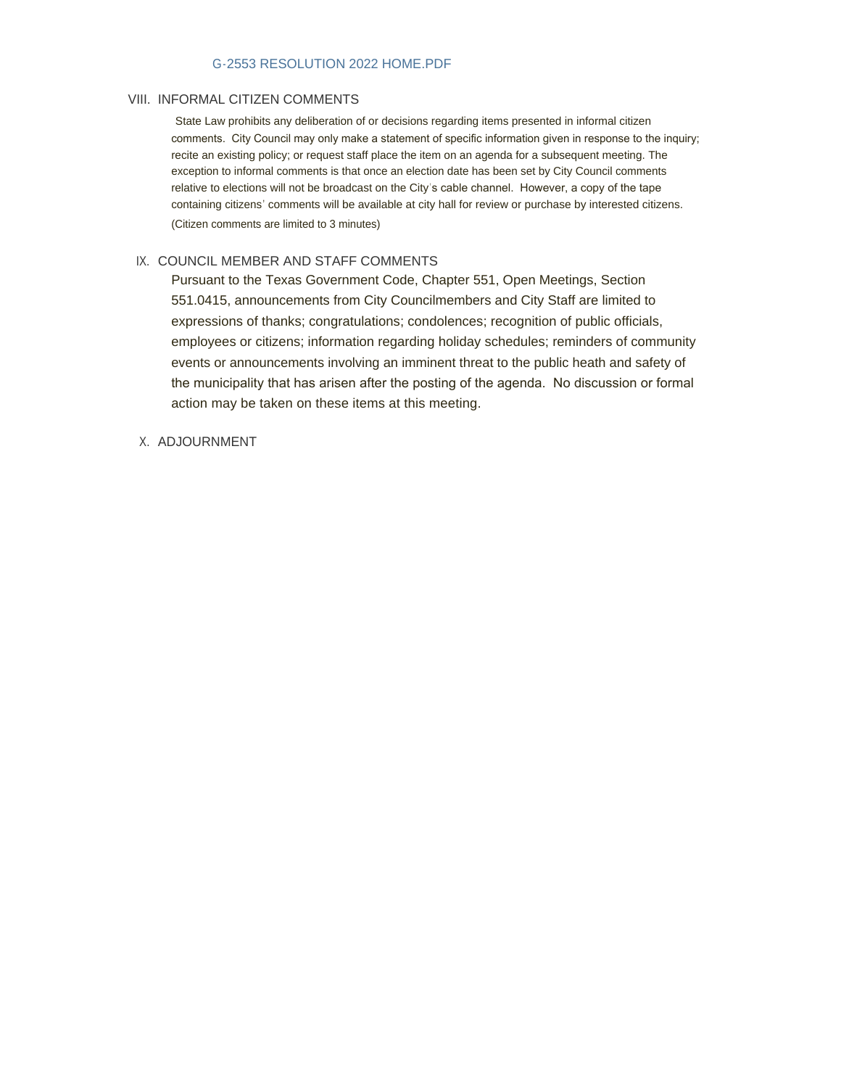#### G-2553 RESOLUTION 2022 HOME.PDF

#### VIII. INFORMAL CITIZEN COMMENTS

State Law prohibits any deliberation of or decisions regarding items presented in informal citizen comments. City Council may only make a statement of specific information given in response to the inquiry; recite an existing policy; or request staff place the item on an agenda for a subsequent meeting. The exception to informal comments is that once an election date has been set by City Council comments relative to elections will not be broadcast on the City's cable channel. However, a copy of the tape containing citizens' comments will be available at city hall for review or purchase by interested citizens. (Citizen comments are limited to 3 minutes)

#### IX. COUNCIL MEMBER AND STAFF COMMENTS

Pursuant to the Texas Government Code, Chapter 551, Open Meetings, Section 551.0415, announcements from City Councilmembers and City Staff are limited to expressions of thanks; congratulations; condolences; recognition of public officials, employees or citizens; information regarding holiday schedules; reminders of community events or announcements involving an imminent threat to the public heath and safety of the municipality that has arisen after the posting of the agenda. No discussion or formal action may be taken on these items at this meeting.

#### X. ADJOURNMENT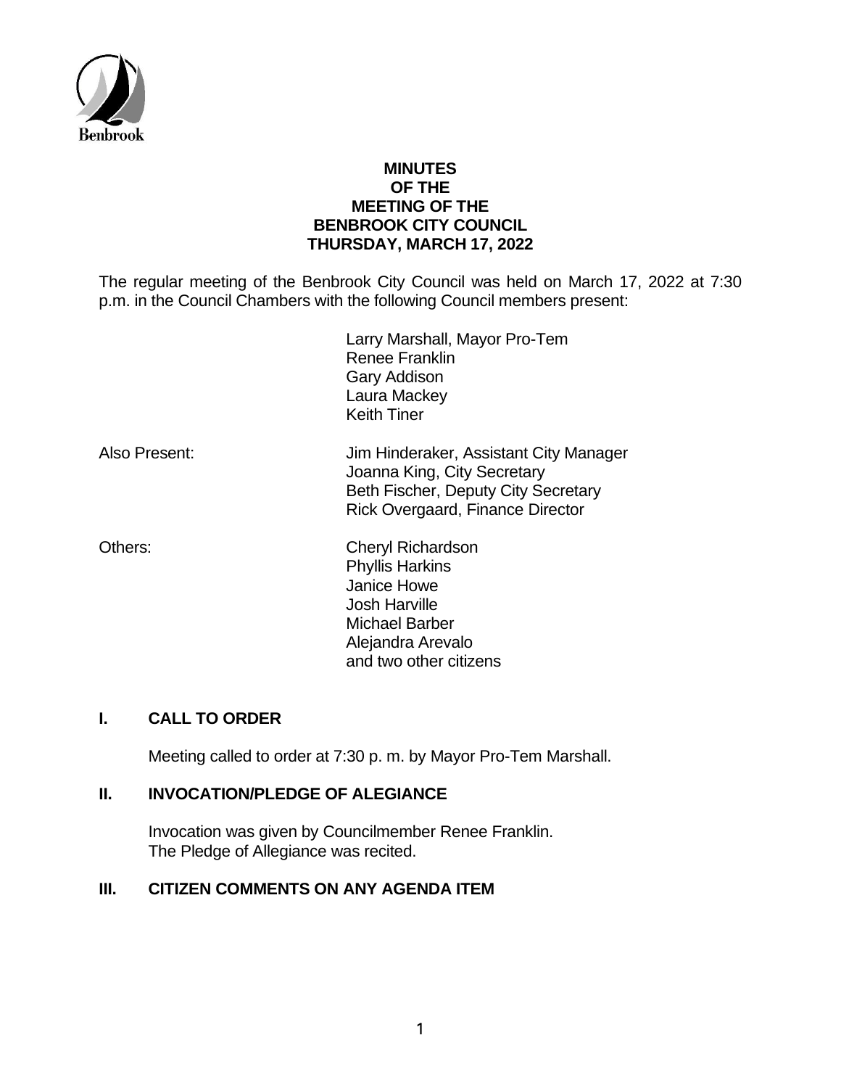

## **MINUTES OF THE MEETING OF THE BENBROOK CITY COUNCIL THURSDAY, MARCH 17, 2022**

The regular meeting of the Benbrook City Council was held on March 17, 2022 at 7:30 p.m. in the Council Chambers with the following Council members present:

|               | Larry Marshall, Mayor Pro-Tem<br><b>Renee Franklin</b><br><b>Gary Addison</b><br>Laura Mackey<br><b>Keith Tiner</b>                              |
|---------------|--------------------------------------------------------------------------------------------------------------------------------------------------|
| Also Present: | Jim Hinderaker, Assistant City Manager<br>Joanna King, City Secretary<br>Beth Fischer, Deputy City Secretary<br>Rick Overgaard, Finance Director |
| Others:       | <b>Cheryl Richardson</b><br><b>Phyllis Harkins</b><br>Janice Howe<br><b>Josh Harville</b><br><b>Michael Barber</b><br>Alejandra Arevalo          |

#### **I. CALL TO ORDER**

Meeting called to order at 7:30 p. m. by Mayor Pro-Tem Marshall.

and two other citizens

## **II. INVOCATION/PLEDGE OF ALEGIANCE**

Invocation was given by Councilmember Renee Franklin. The Pledge of Allegiance was recited.

## **III. CITIZEN COMMENTS ON ANY AGENDA ITEM**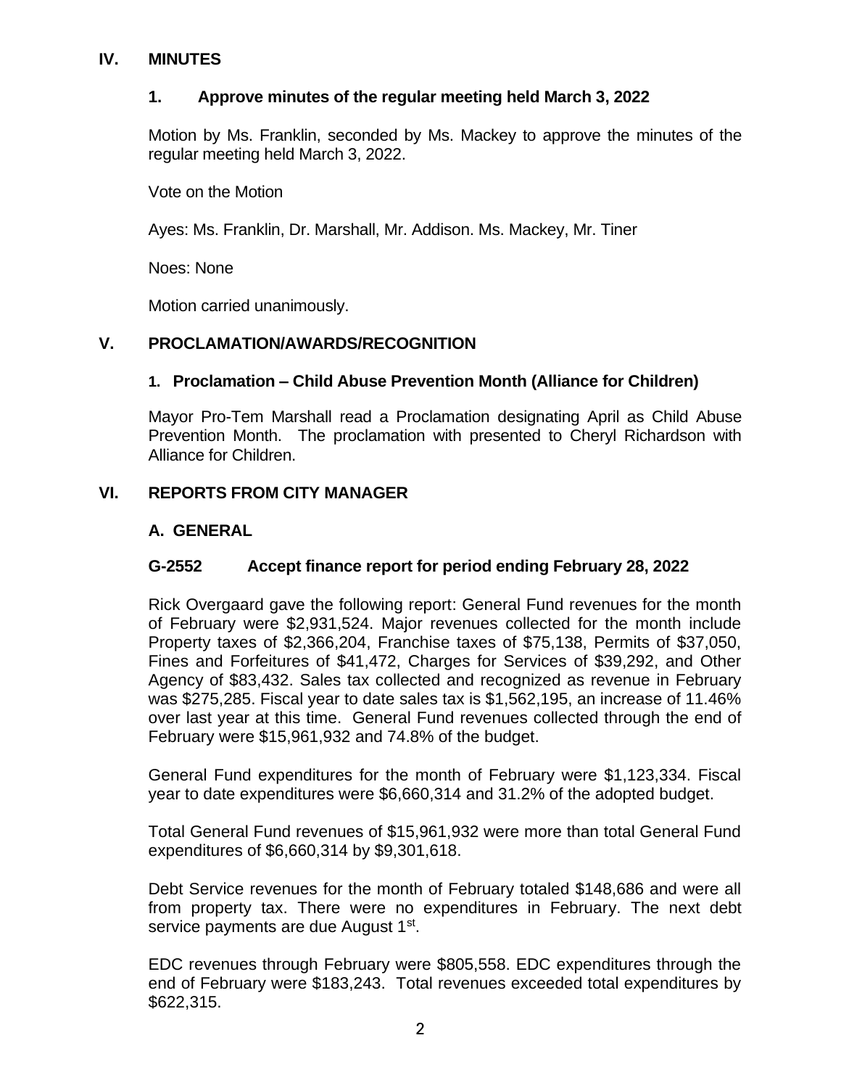## **IV. MINUTES**

## **1. Approve minutes of the regular meeting held March 3, 2022**

Motion by Ms. Franklin, seconded by Ms. Mackey to approve the minutes of the regular meeting held March 3, 2022.

Vote on the Motion

Ayes: Ms. Franklin, Dr. Marshall, Mr. Addison. Ms. Mackey, Mr. Tiner

Noes: None

Motion carried unanimously.

# **V. PROCLAMATION/AWARDS/RECOGNITION**

# **1. Proclamation – Child Abuse Prevention Month (Alliance for Children)**

Mayor Pro-Tem Marshall read a Proclamation designating April as Child Abuse Prevention Month. The proclamation with presented to Cheryl Richardson with Alliance for Children.

# **VI. REPORTS FROM CITY MANAGER**

# **A. GENERAL**

# **G-2552 Accept finance report for period ending February 28, 2022**

Rick Overgaard gave the following report: General Fund revenues for the month of February were \$2,931,524. Major revenues collected for the month include Property taxes of \$2,366,204, Franchise taxes of \$75,138, Permits of \$37,050, Fines and Forfeitures of \$41,472, Charges for Services of \$39,292, and Other Agency of \$83,432. Sales tax collected and recognized as revenue in February was \$275,285. Fiscal year to date sales tax is \$1,562,195, an increase of 11.46% over last year at this time. General Fund revenues collected through the end of February were \$15,961,932 and 74.8% of the budget.

General Fund expenditures for the month of February were \$1,123,334. Fiscal year to date expenditures were \$6,660,314 and 31.2% of the adopted budget.

Total General Fund revenues of \$15,961,932 were more than total General Fund expenditures of \$6,660,314 by \$9,301,618.

Debt Service revenues for the month of February totaled \$148,686 and were all from property tax. There were no expenditures in February. The next debt service payments are due August 1<sup>st</sup>.

EDC revenues through February were \$805,558. EDC expenditures through the end of February were \$183,243. Total revenues exceeded total expenditures by \$622,315.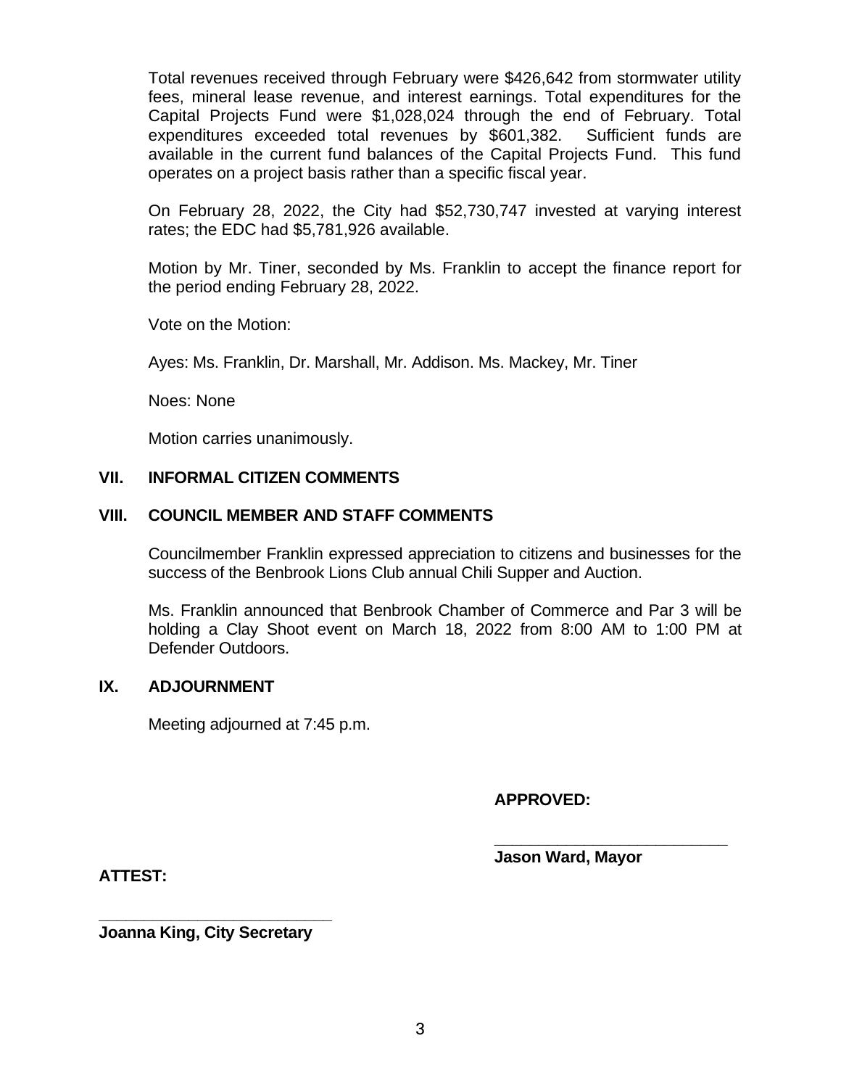Total revenues received through February were \$426,642 from stormwater utility fees, mineral lease revenue, and interest earnings. Total expenditures for the Capital Projects Fund were \$1,028,024 through the end of February. Total expenditures exceeded total revenues by \$601,382. Sufficient funds are available in the current fund balances of the Capital Projects Fund. This fund operates on a project basis rather than a specific fiscal year.

On February 28, 2022, the City had \$52,730,747 invested at varying interest rates; the EDC had \$5,781,926 available.

Motion by Mr. Tiner, seconded by Ms. Franklin to accept the finance report for the period ending February 28, 2022.

Vote on the Motion:

Ayes: Ms. Franklin, Dr. Marshall, Mr. Addison. Ms. Mackey, Mr. Tiner

Noes: None

Motion carries unanimously.

### **VII. INFORMAL CITIZEN COMMENTS**

### **VIII. COUNCIL MEMBER AND STAFF COMMENTS**

Councilmember Franklin expressed appreciation to citizens and businesses for the success of the Benbrook Lions Club annual Chili Supper and Auction.

Ms. Franklin announced that Benbrook Chamber of Commerce and Par 3 will be holding a Clay Shoot event on March 18, 2022 from 8:00 AM to 1:00 PM at Defender Outdoors.

#### **IX. ADJOURNMENT**

Meeting adjourned at 7:45 p.m.

**APPROVED:**

**Jason Ward, Mayor**

**\_\_\_\_\_\_\_\_\_\_\_\_\_\_\_\_\_\_\_\_\_\_\_\_\_\_**

**ATTEST:**

**\_\_\_\_\_\_\_\_\_\_\_\_\_\_\_\_\_\_\_\_\_\_\_\_\_\_ Joanna King, City Secretary**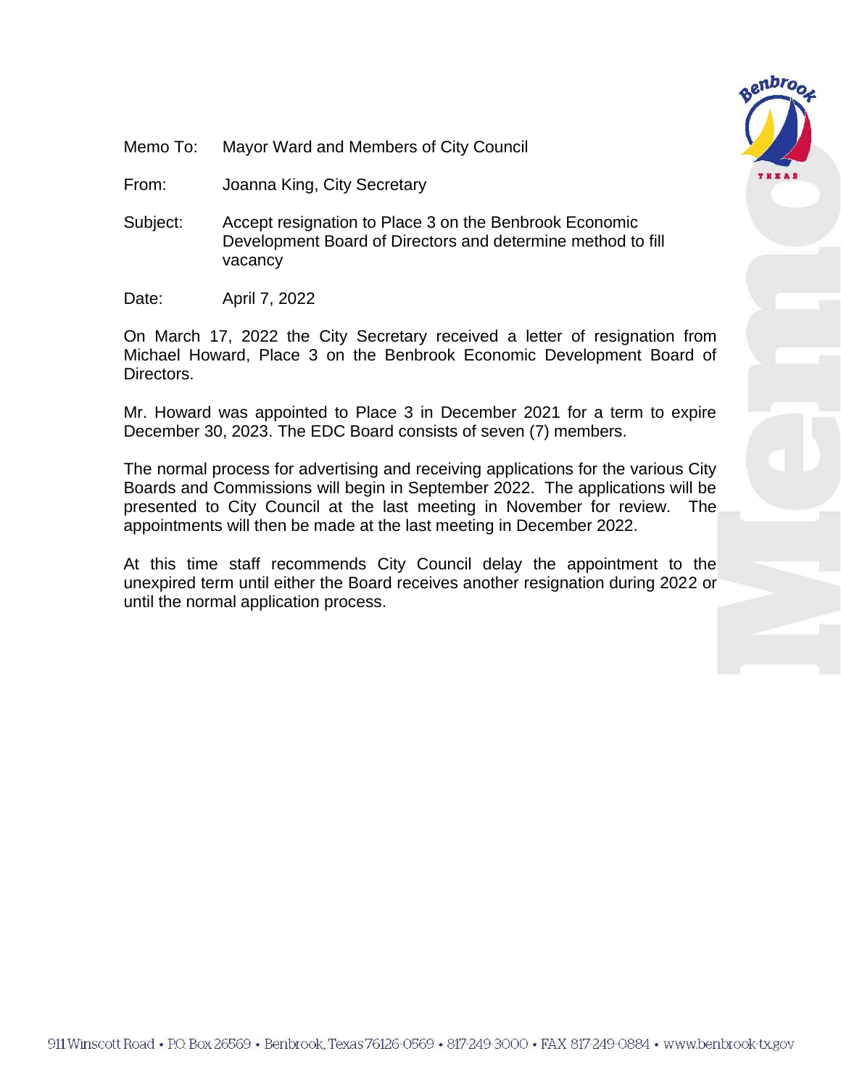

- Memo To: Mayor Ward and Members of City Council
- From: Joanna King, City Secretary
- Subject: Accept resignation to Place 3 on the Benbrook Economic Development Board of Directors and determine method to fill vacancy
- Date: April 7, 2022

On March 17, 2022 the City Secretary received a letter of resignation from Michael Howard, Place 3 on the Benbrook Economic Development Board of Directors.

Mr. Howard was appointed to Place 3 in December 2021 for a term to expire December 30, 2023. The EDC Board consists of seven (7) members.

The normal process for advertising and receiving applications for the various City Boards and Commissions will begin in September 2022. The applications will be presented to City Council at the last meeting in November for review. The appointments will then be made at the last meeting in December 2022.

At this time staff recommends City Council delay the appointment to the unexpired term until either the Board receives another resignation during 2022 or until the normal application process.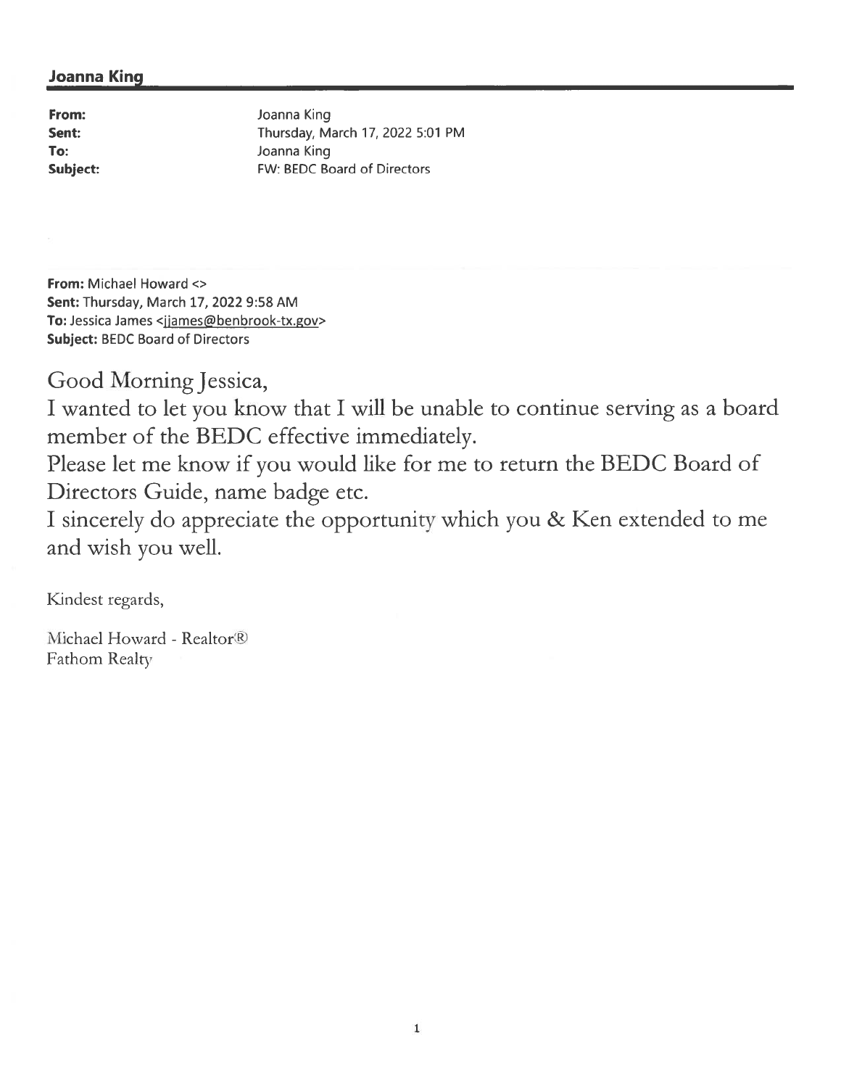## **Joanna King**

From: Sent: To: Subject: Joanna King Thursday, March 17, 2022 5:01 PM Joanna King FW: BEDC Board of Directors

From: Michael Howard <> Sent: Thursday, March 17, 2022 9:58 AM To: Jessica James <jjames@benbrook-tx.gov> **Subject: BEDC Board of Directors** 

Good Morning Jessica,

I wanted to let you know that I will be unable to continue serving as a board member of the BEDC effective immediately.

Please let me know if you would like for me to return the BEDC Board of Directors Guide, name badge etc.

I sincerely do appreciate the opportunity which you & Ken extended to me and wish you well.

Kindest regards,

Michael Howard - Realtor<sup>®</sup> Fathom Realty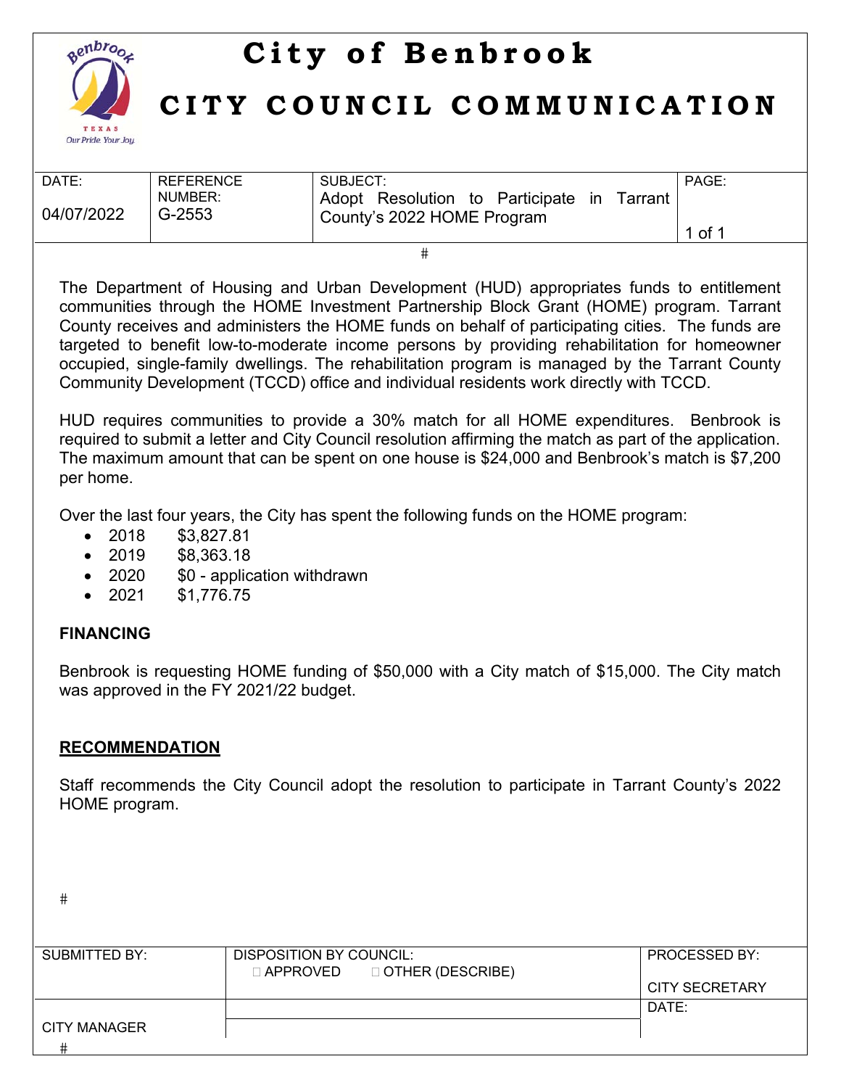

# **City of Benbrook**

# **CITY COUNCIL COMMUNICATION**

| DATE:      | <b>REFERENCE</b>  | SUBJECT:                                                                                  | PAGE:  |
|------------|-------------------|-------------------------------------------------------------------------------------------|--------|
| 04/07/2022 | NUMBER:<br>G-2553 | Adopt Resolution to Participate<br>Tarrant<br><sub>In</sub><br>County's 2022 HOME Program |        |
|            |                   |                                                                                           | 1 of 1 |

 $#$ 

The Department of Housing and Urban Development (HUD) appropriates funds to entitlement communities through the HOME Investment Partnership Block Grant (HOME) program. Tarrant County receives and administers the HOME funds on behalf of participating cities. The funds are targeted to benefit low-to-moderate income persons by providing rehabilitation for homeowner occupied, single-family dwellings. The rehabilitation program is managed by the Tarrant County Community Development (TCCD) office and individual residents work directly with TCCD.

HUD requires communities to provide a 30% match for all HOME expenditures. Benbrook is required to submit a letter and City Council resolution affirming the match as part of the application. The maximum amount that can be spent on one house is \$24,000 and Benbrook's match is \$7,200 per home.

Over the last four years, the City has spent the following funds on the HOME program:

- 2018 \$3,827.81
- 2019 \$8,363.18
- 2020 \$0 application withdrawn
- 2021 \$1,776.75

# **FINANCING**

Benbrook is requesting HOME funding of \$50,000 with a City match of \$15,000. The City match was approved in the FY 2021/22 budget.

# **RECOMMENDATION**

Staff recommends the City Council adopt the resolution to participate in Tarrant County's 2022 HOME program.

 $#$ 

| SUBMITTED BY: | DISPOSITION BY COUNCIL:<br>$\Box$ APPROVED $\Box$ OTHER (DESCRIBE) | <b>PROCESSED BY:</b> |
|---------------|--------------------------------------------------------------------|----------------------|
|               |                                                                    | CITY SECRETARY       |
|               |                                                                    | DATE:                |
| CITY MANAGER  |                                                                    |                      |
|               |                                                                    |                      |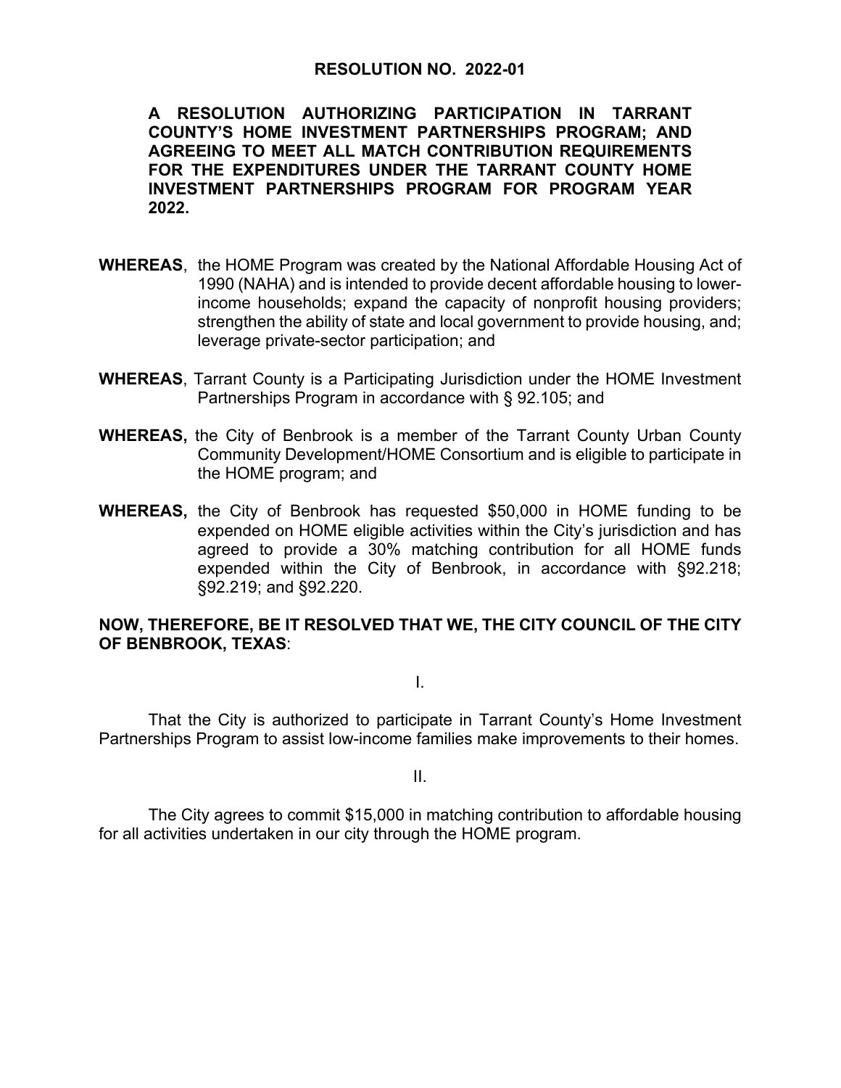#### **RESOLUTION NO. 2022-01**

**A RESOLUTION AUTHORIZING PARTICIPATION IN TARRANT COUNTY'S HOME INVESTMENT PARTNERSHIPS PROGRAM; AND AGREEING TO MEET ALL MATCH CONTRIBUTION REQUIREMENTS FOR THE EXPENDITURES UNDER THE TARRANT COUNTY HOME INVESTMENT PARTNERSHIPS PROGRAM FOR PROGRAM YEAR 2022.** 

- **WHEREAS**, the HOME Program was created by the National Affordable Housing Act of 1990 (NAHA) and is intended to provide decent affordable housing to lowerincome households; expand the capacity of nonprofit housing providers; strengthen the ability of state and local government to provide housing, and; leverage private-sector participation; and
- **WHEREAS**, Tarrant County is a Participating Jurisdiction under the HOME Investment Partnerships Program in accordance with § 92.105; and
- **WHEREAS,** the City of Benbrook is a member of the Tarrant County Urban County Community Development/HOME Consortium and is eligible to participate in the HOME program; and
- **WHEREAS,** the City of Benbrook has requested \$50,000 in HOME funding to be expended on HOME eligible activities within the City's jurisdiction and has agreed to provide a 30% matching contribution for all HOME funds expended within the City of Benbrook, in accordance with §92.218; §92.219; and §92.220.

#### **NOW, THEREFORE, BE IT RESOLVED THAT WE, THE CITY COUNCIL OF THE CITY OF BENBROOK, TEXAS**:

I.

 That the City is authorized to participate in Tarrant County's Home Investment Partnerships Program to assist low-income families make improvements to their homes.

II.

 The City agrees to commit \$15,000 in matching contribution to affordable housing for all activities undertaken in our city through the HOME program.